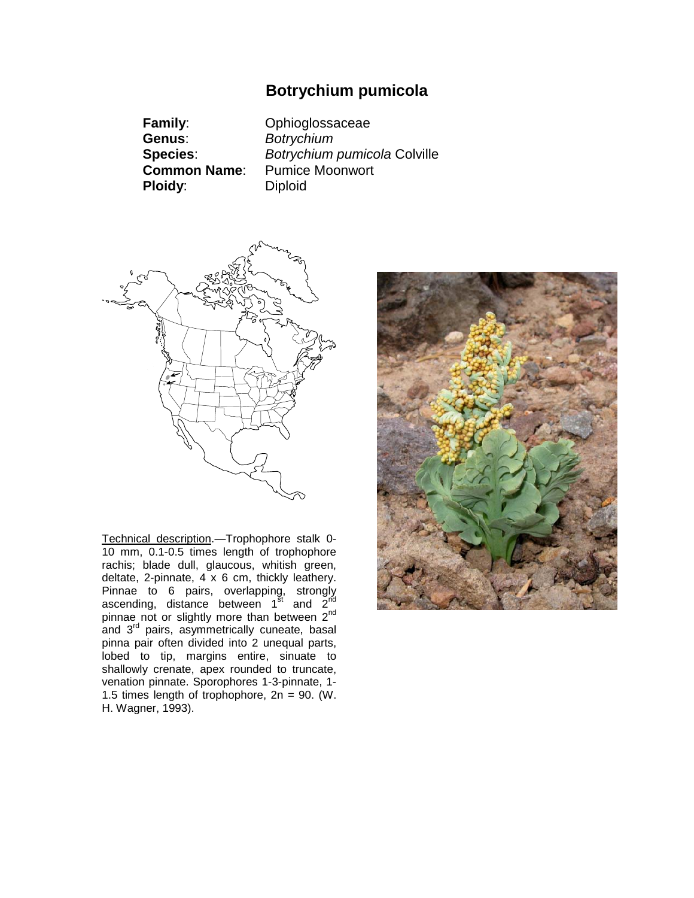# **Botrychium pumicola**

**Family**: Ophioglossaceae **Genus**: *Botrychium* **Species**: *Botrychium pumicola* Colville Pumice Moonwort<br>Diploid **Ploidy:** 



Technical description.—Trophophore stalk 0- 10 mm, 0.1-0.5 times length of trophophore rachis; blade dull, glaucous, whitish green, deltate, 2-pinnate, 4 x 6 cm, thickly leathery. Pinnae to 6 pairs, overlapping, strongly ascending, distance between  $1^{\overline{3}t}$  and  $2^{\overline{n}d}$ pinnae not or slightly more than between 2<sup>nd</sup> and 3<sup>rd</sup> pairs, asymmetrically cuneate, basal pinna pair often divided into 2 unequal parts, lobed to tip, margins entire, sinuate to shallowly crenate, apex rounded to truncate, venation pinnate. Sporophores 1-3-pinnate, 1- 1.5 times length of trophophore, 2n = 90. (W. H. Wagner, 1993).

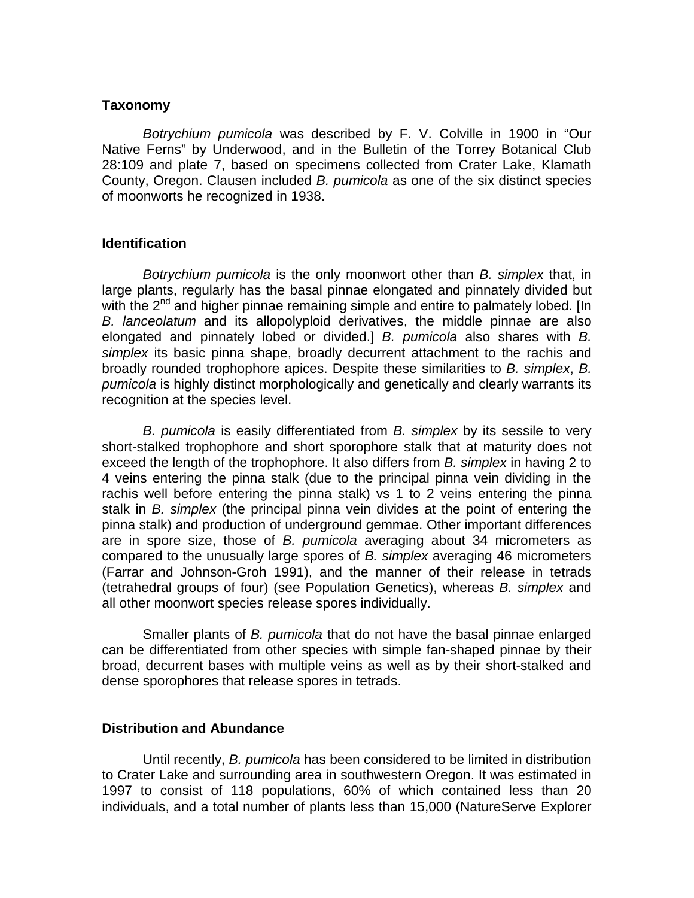#### **Taxonomy**

*Botrychium pumicola* was described by F. V. Colville in 1900 in "Our Native Ferns" by Underwood, and in the Bulletin of the Torrey Botanical Club 28:109 and plate 7, based on specimens collected from Crater Lake, Klamath County, Oregon. Clausen included *B. pumicola* as one of the six distinct species of moonworts he recognized in 1938.

## **Identification**

*Botrychium pumicola* is the only moonwort other than *B. simplex* that, in large plants, regularly has the basal pinnae elongated and pinnately divided but with the 2<sup>nd</sup> and higher pinnae remaining simple and entire to palmately lobed. [In *B. lanceolatum* and its allopolyploid derivatives, the middle pinnae are also elongated and pinnately lobed or divided.] *B. pumicola* also shares with *B. simplex* its basic pinna shape, broadly decurrent attachment to the rachis and broadly rounded trophophore apices. Despite these similarities to *B. simplex*, *B. pumicola* is highly distinct morphologically and genetically and clearly warrants its recognition at the species level.

*B. pumicola* is easily differentiated from *B. simplex* by its sessile to very short-stalked trophophore and short sporophore stalk that at maturity does not exceed the length of the trophophore. It also differs from *B. simplex* in having 2 to 4 veins entering the pinna stalk (due to the principal pinna vein dividing in the rachis well before entering the pinna stalk) vs 1 to 2 veins entering the pinna stalk in *B. simplex* (the principal pinna vein divides at the point of entering the pinna stalk) and production of underground gemmae. Other important differences are in spore size, those of *B. pumicola* averaging about 34 micrometers as compared to the unusually large spores of *B. simplex* averaging 46 micrometers (Farrar and Johnson-Groh 1991), and the manner of their release in tetrads (tetrahedral groups of four) (see Population Genetics), whereas *B. simplex* and all other moonwort species release spores individually.

Smaller plants of *B. pumicola* that do not have the basal pinnae enlarged can be differentiated from other species with simple fan-shaped pinnae by their broad, decurrent bases with multiple veins as well as by their short-stalked and dense sporophores that release spores in tetrads.

## **Distribution and Abundance**

Until recently, *B. pumicola* has been considered to be limited in distribution to Crater Lake and surrounding area in southwestern Oregon. It was estimated in 1997 to consist of 118 populations, 60% of which contained less than 20 individuals, and a total number of plants less than 15,000 (NatureServe Explorer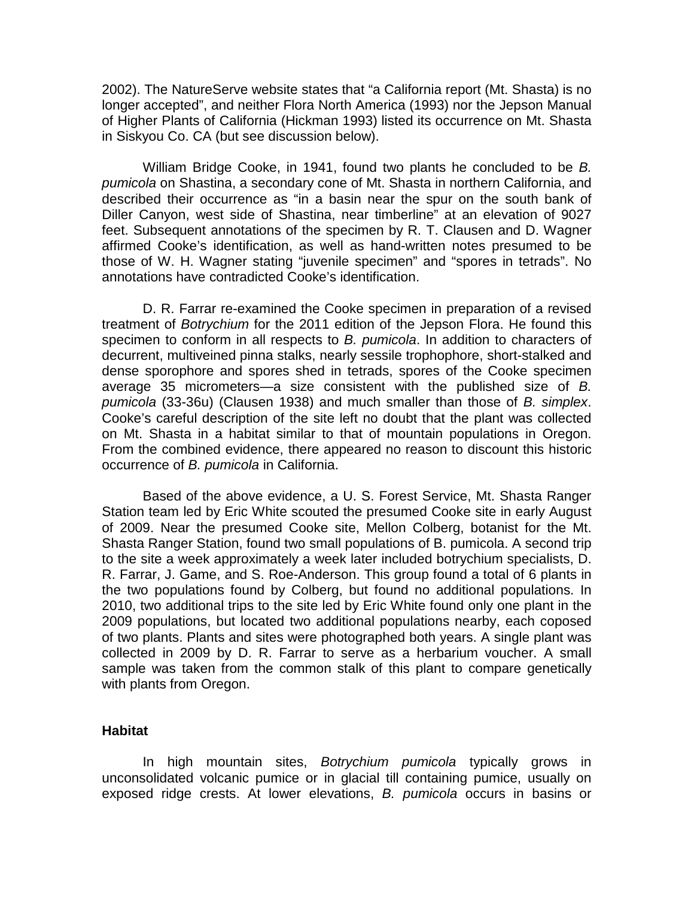2002). The NatureServe website states that "a California report (Mt. Shasta) is no longer accepted", and neither Flora North America (1993) nor the Jepson Manual of Higher Plants of California (Hickman 1993) listed its occurrence on Mt. Shasta in Siskyou Co. CA (but see discussion below).

William Bridge Cooke, in 1941, found two plants he concluded to be *B. pumicola* on Shastina, a secondary cone of Mt. Shasta in northern California, and described their occurrence as "in a basin near the spur on the south bank of Diller Canyon, west side of Shastina, near timberline" at an elevation of 9027 feet. Subsequent annotations of the specimen by R. T. Clausen and D. Wagner affirmed Cooke's identification, as well as hand-written notes presumed to be those of W. H. Wagner stating "juvenile specimen" and "spores in tetrads". No annotations have contradicted Cooke's identification.

D. R. Farrar re-examined the Cooke specimen in preparation of a revised treatment of *Botrychium* for the 2011 edition of the Jepson Flora. He found this specimen to conform in all respects to *B. pumicola*. In addition to characters of decurrent, multiveined pinna stalks, nearly sessile trophophore, short-stalked and dense sporophore and spores shed in tetrads, spores of the Cooke specimen average 35 micrometers—a size consistent with the published size of *B. pumicola* (33-36u) (Clausen 1938) and much smaller than those of *B. simplex*. Cooke's careful description of the site left no doubt that the plant was collected on Mt. Shasta in a habitat similar to that of mountain populations in Oregon. From the combined evidence, there appeared no reason to discount this historic occurrence of *B. pumicola* in California.

Based of the above evidence, a U. S. Forest Service, Mt. Shasta Ranger Station team led by Eric White scouted the presumed Cooke site in early August of 2009. Near the presumed Cooke site, Mellon Colberg, botanist for the Mt. Shasta Ranger Station, found two small populations of B. pumicola. A second trip to the site a week approximately a week later included botrychium specialists, D. R. Farrar, J. Game, and S. Roe-Anderson. This group found a total of 6 plants in the two populations found by Colberg, but found no additional populations. In 2010, two additional trips to the site led by Eric White found only one plant in the 2009 populations, but located two additional populations nearby, each coposed of two plants. Plants and sites were photographed both years. A single plant was collected in 2009 by D. R. Farrar to serve as a herbarium voucher. A small sample was taken from the common stalk of this plant to compare genetically with plants from Oregon.

#### **Habitat**

In high mountain sites, *Botrychium pumicola* typically grows in unconsolidated volcanic pumice or in glacial till containing pumice, usually on exposed ridge crests. At lower elevations, *B. pumicola* occurs in basins or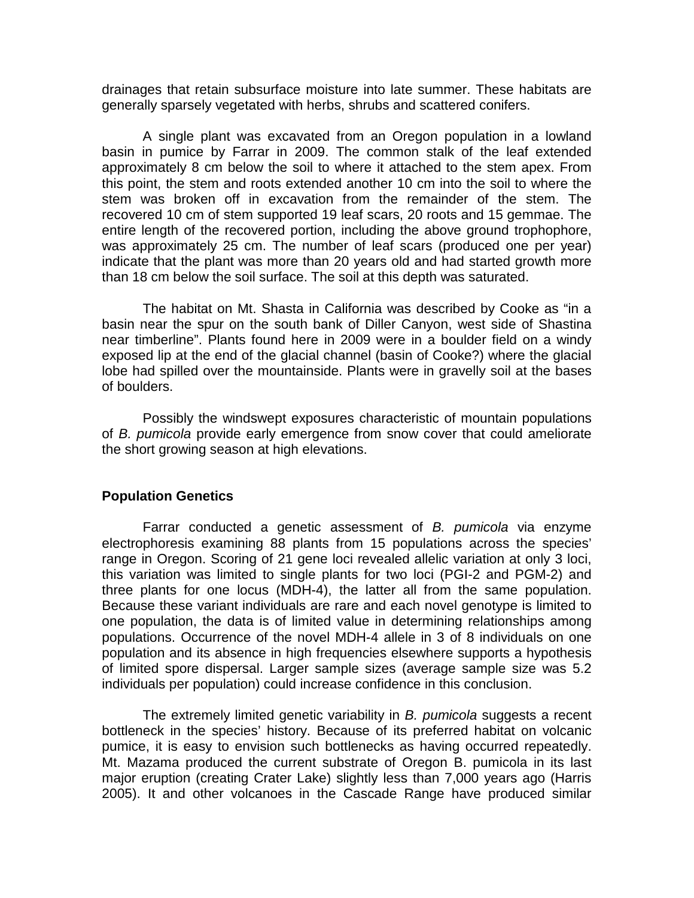drainages that retain subsurface moisture into late summer. These habitats are generally sparsely vegetated with herbs, shrubs and scattered conifers.

A single plant was excavated from an Oregon population in a lowland basin in pumice by Farrar in 2009. The common stalk of the leaf extended approximately 8 cm below the soil to where it attached to the stem apex. From this point, the stem and roots extended another 10 cm into the soil to where the stem was broken off in excavation from the remainder of the stem. The recovered 10 cm of stem supported 19 leaf scars, 20 roots and 15 gemmae. The entire length of the recovered portion, including the above ground trophophore, was approximately 25 cm. The number of leaf scars (produced one per year) indicate that the plant was more than 20 years old and had started growth more than 18 cm below the soil surface. The soil at this depth was saturated.

The habitat on Mt. Shasta in California was described by Cooke as "in a basin near the spur on the south bank of Diller Canyon, west side of Shastina near timberline". Plants found here in 2009 were in a boulder field on a windy exposed lip at the end of the glacial channel (basin of Cooke?) where the glacial lobe had spilled over the mountainside. Plants were in gravelly soil at the bases of boulders.

Possibly the windswept exposures characteristic of mountain populations of *B. pumicola* provide early emergence from snow cover that could ameliorate the short growing season at high elevations.

#### **Population Genetics**

Farrar conducted a genetic assessment of *B. pumicola* via enzyme electrophoresis examining 88 plants from 15 populations across the species' range in Oregon. Scoring of 21 gene loci revealed allelic variation at only 3 loci, this variation was limited to single plants for two loci (PGI-2 and PGM-2) and three plants for one locus (MDH-4), the latter all from the same population. Because these variant individuals are rare and each novel genotype is limited to one population, the data is of limited value in determining relationships among populations. Occurrence of the novel MDH-4 allele in 3 of 8 individuals on one population and its absence in high frequencies elsewhere supports a hypothesis of limited spore dispersal. Larger sample sizes (average sample size was 5.2 individuals per population) could increase confidence in this conclusion.

The extremely limited genetic variability in *B. pumicola* suggests a recent bottleneck in the species' history. Because of its preferred habitat on volcanic pumice, it is easy to envision such bottlenecks as having occurred repeatedly. Mt. Mazama produced the current substrate of Oregon B. pumicola in its last major eruption (creating Crater Lake) slightly less than 7,000 years ago (Harris 2005). It and other volcanoes in the Cascade Range have produced similar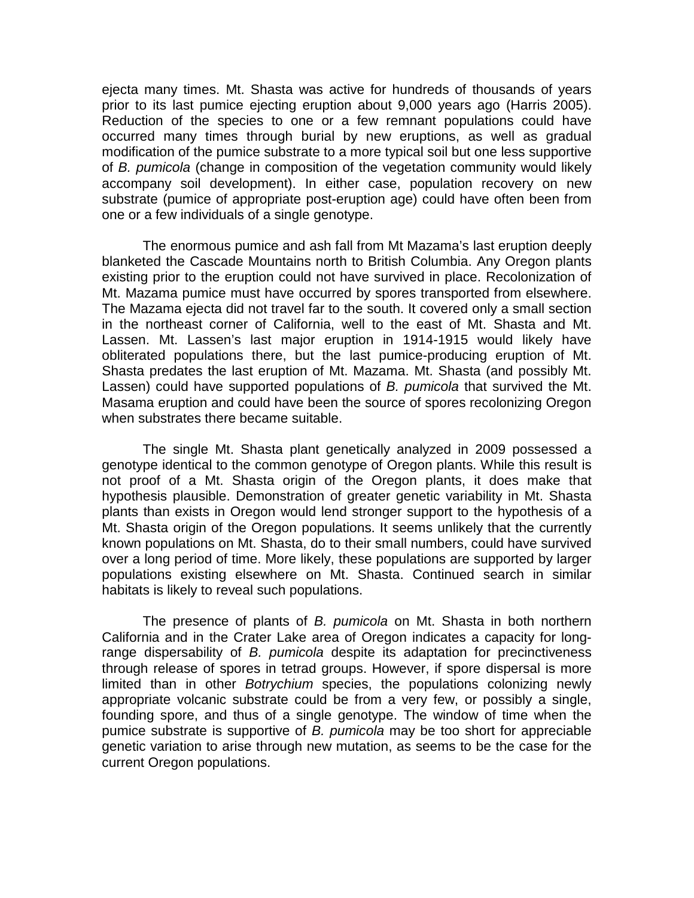ejecta many times. Mt. Shasta was active for hundreds of thousands of years prior to its last pumice ejecting eruption about 9,000 years ago (Harris 2005). Reduction of the species to one or a few remnant populations could have occurred many times through burial by new eruptions, as well as gradual modification of the pumice substrate to a more typical soil but one less supportive of *B. pumicola* (change in composition of the vegetation community would likely accompany soil development). In either case, population recovery on new substrate (pumice of appropriate post-eruption age) could have often been from one or a few individuals of a single genotype.

The enormous pumice and ash fall from Mt Mazama's last eruption deeply blanketed the Cascade Mountains north to British Columbia. Any Oregon plants existing prior to the eruption could not have survived in place. Recolonization of Mt. Mazama pumice must have occurred by spores transported from elsewhere. The Mazama ejecta did not travel far to the south. It covered only a small section in the northeast corner of California, well to the east of Mt. Shasta and Mt. Lassen. Mt. Lassen's last major eruption in 1914-1915 would likely have obliterated populations there, but the last pumice-producing eruption of Mt. Shasta predates the last eruption of Mt. Mazama. Mt. Shasta (and possibly Mt. Lassen) could have supported populations of *B. pumicola* that survived the Mt. Masama eruption and could have been the source of spores recolonizing Oregon when substrates there became suitable.

The single Mt. Shasta plant genetically analyzed in 2009 possessed a genotype identical to the common genotype of Oregon plants. While this result is not proof of a Mt. Shasta origin of the Oregon plants, it does make that hypothesis plausible. Demonstration of greater genetic variability in Mt. Shasta plants than exists in Oregon would lend stronger support to the hypothesis of a Mt. Shasta origin of the Oregon populations. It seems unlikely that the currently known populations on Mt. Shasta, do to their small numbers, could have survived over a long period of time. More likely, these populations are supported by larger populations existing elsewhere on Mt. Shasta. Continued search in similar habitats is likely to reveal such populations.

The presence of plants of *B. pumicola* on Mt. Shasta in both northern California and in the Crater Lake area of Oregon indicates a capacity for longrange dispersability of *B. pumicola* despite its adaptation for precinctiveness through release of spores in tetrad groups. However, if spore dispersal is more limited than in other *Botrychium* species, the populations colonizing newly appropriate volcanic substrate could be from a very few, or possibly a single, founding spore, and thus of a single genotype. The window of time when the pumice substrate is supportive of *B. pumicola* may be too short for appreciable genetic variation to arise through new mutation, as seems to be the case for the current Oregon populations.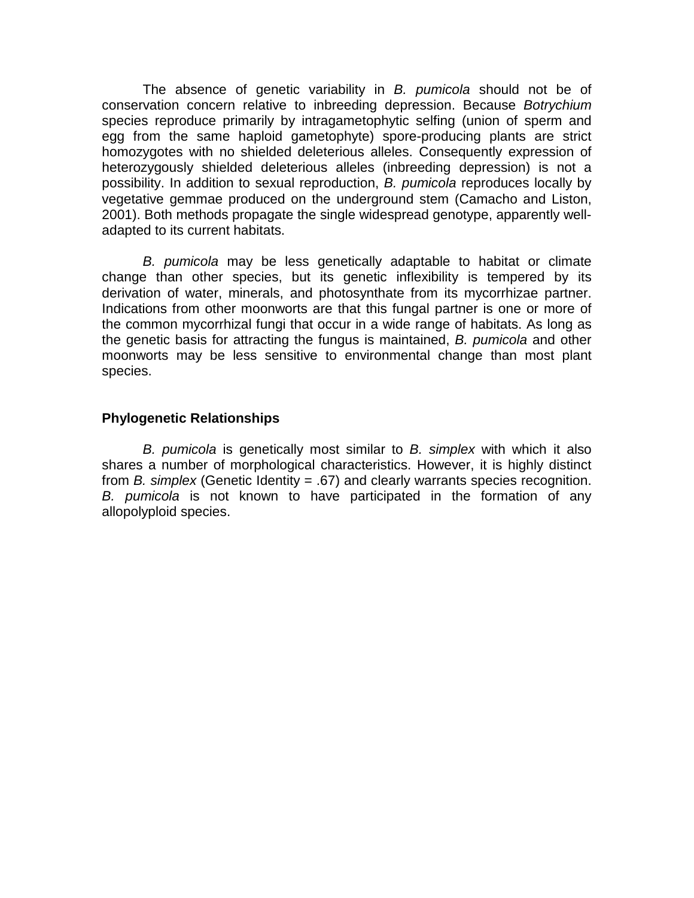The absence of genetic variability in *B. pumicola* should not be of conservation concern relative to inbreeding depression. Because *Botrychium* species reproduce primarily by intragametophytic selfing (union of sperm and egg from the same haploid gametophyte) spore-producing plants are strict homozygotes with no shielded deleterious alleles. Consequently expression of heterozygously shielded deleterious alleles (inbreeding depression) is not a possibility. In addition to sexual reproduction, *B. pumicola* reproduces locally by vegetative gemmae produced on the underground stem (Camacho and Liston, 2001). Both methods propagate the single widespread genotype, apparently welladapted to its current habitats.

*B. pumicola* may be less genetically adaptable to habitat or climate change than other species, but its genetic inflexibility is tempered by its derivation of water, minerals, and photosynthate from its mycorrhizae partner. Indications from other moonworts are that this fungal partner is one or more of the common mycorrhizal fungi that occur in a wide range of habitats. As long as the genetic basis for attracting the fungus is maintained, *B. pumicola* and other moonworts may be less sensitive to environmental change than most plant species.

# **Phylogenetic Relationships**

*B. pumicola* is genetically most similar to *B. simplex* with which it also shares a number of morphological characteristics. However, it is highly distinct from *B. simplex* (Genetic Identity = .67) and clearly warrants species recognition. *B. pumicola* is not known to have participated in the formation of any allopolyploid species.